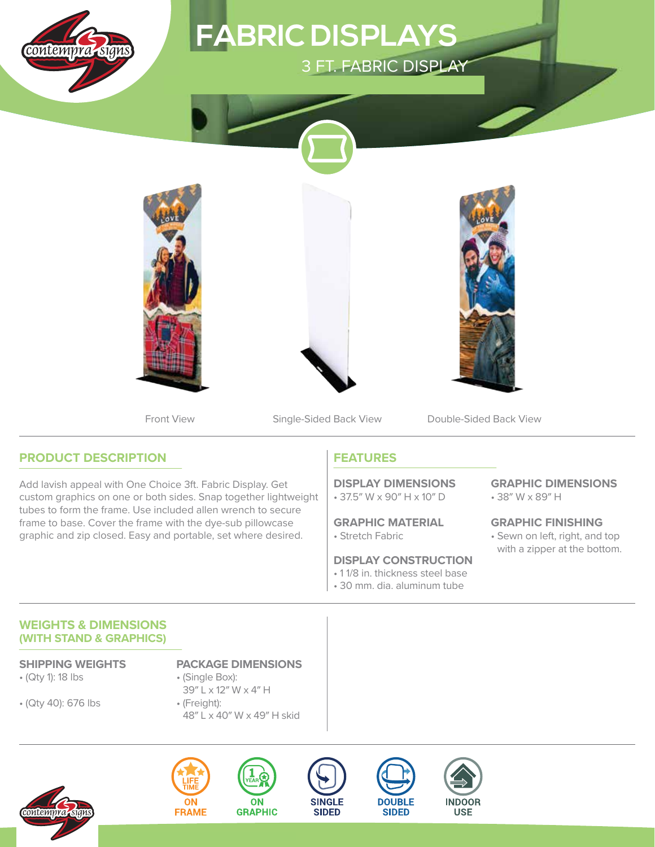

# **FABRIC DISPLAYS 3 FT. FABRIC DISPLAY**



Front View Single-Sided Back View Double-Sided Back View

## **PRODUCT DESCRIPTION**

Add lavish appeal with One Choice 3ft. Fabric Display. Get custom graphics on one or both sides. Snap together lightweight tubes to form the frame. Use included allen wrench to secure frame to base. Cover the frame with the dye-sub pillowcase graphic and zip closed. Easy and portable, set where desired.

## **FEATURES**

• 37.5″ W x 90″ H x 10″ D **DISPLAY DIMENSIONS**

• Stretch Fabric **GRAPHIC MATERIAL**

### **DISPLAY CONSTRUCTION**

- 1 1/8 in. thickness steel base
- 30 mm. dia. aluminum tube

• 38″ W x 89″ H **GRAPHIC DIMENSIONS**

• Sewn on left, right, and top with a zipper at the bottom. **GRAPHIC FINISHING**

#### **WEIGHTS & DIMENSIONS (WITH STAND & GRAPHICS)**

- (Qty 1): 18 lbs
- (Qty 40): 676 lbs
- **SHIPPING WEIGHTS PACKAGE DIMENSIONS**
	- (Single Box): 39″ L x 12″ W x 4″ H
	- (Freight): 48″ L x 40″ W x 49″ H skid

**ON** 









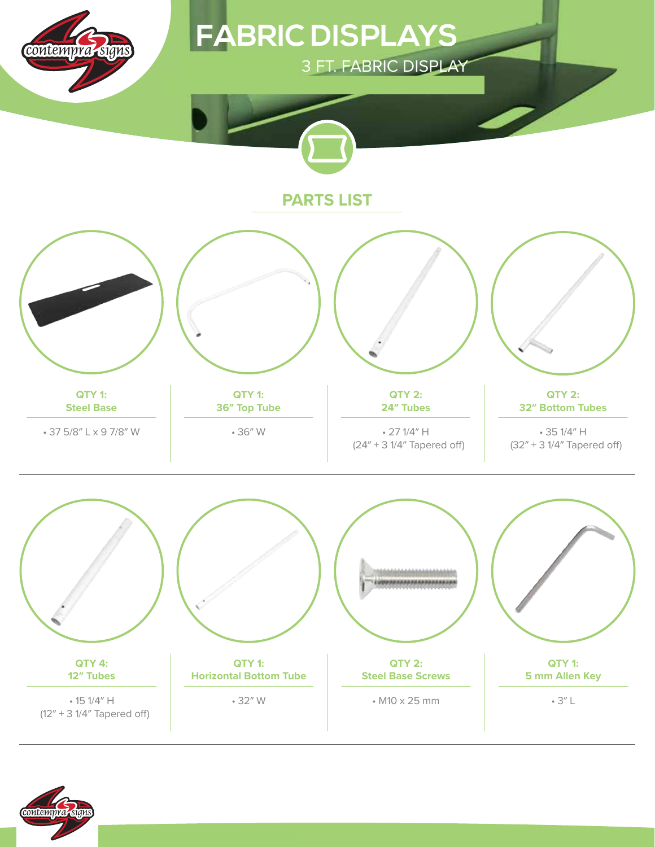